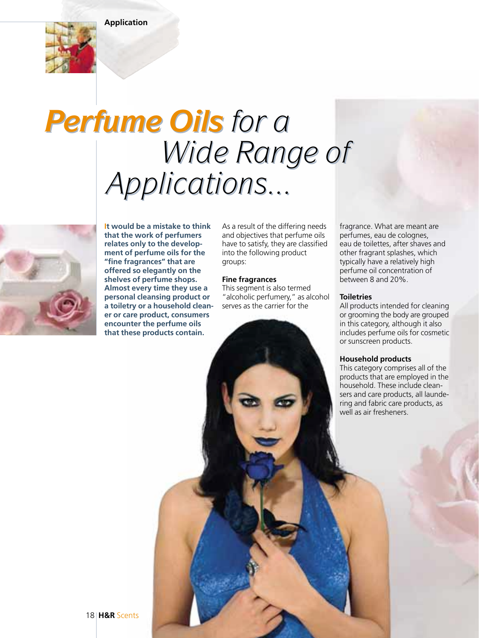**Application**



# *Perfume Oils for a Perfume Oils for a Wide Range of Wide Range of Applications... Applications...*



**It would be a mistake to think that the work of perfumers relates only to the development of perfume oils for the "fine fragrances" that are offered so elegantly on the shelves of perfume shops. Almost every time they use a personal cleansing product or a toiletry or a household cleaner or care product, consumers encounter the perfume oils that these products contain.** 

As a result of the differing needs and objectives that perfume oils have to satisfy, they are classified into the following product groups:

#### **Fine fragrances**

This segment is also termed "alcoholic perfumery," as alcohol serves as the carrier for the

fragrance. What are meant are perfumes, eau de colognes, eau de toilettes, after shaves and other fragrant splashes, which typically have a relatively high perfume oil concentration of between 8 and 20%.

#### **Toiletries**

All products intended for cleaning or grooming the body are grouped in this category, although it also includes perfume oils for cosmetic or sunscreen products.

#### **Household products**

This category comprises all of the products that are employed in the household. These include cleansers and care products, all laundering and fabric care products, as well as air fresheners.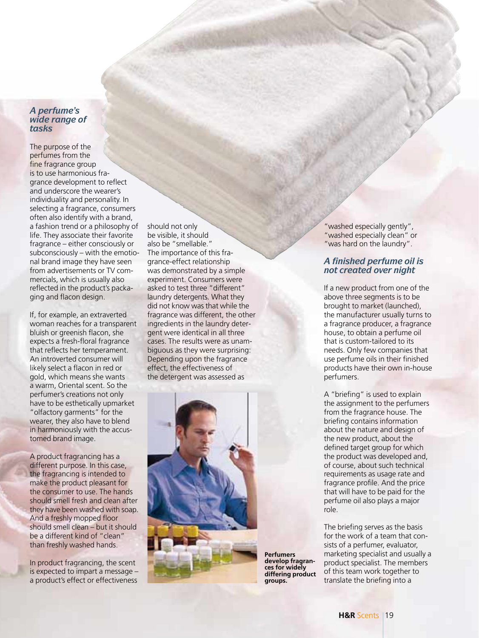### *A perfume's wide range of tasks*

The purpose of the perfumes from the fine fragrance group is to use harmonious fragrance development to reflect and underscore the wearer's individuality and personality. In selecting a fragrance, consumers often also identify with a brand, a fashion trend or a philosophy of life. They associate their favorite fragrance – either consciously or subconsciously – with the emotional brand image they have seen from advertisements or TV commercials, which is usually also reflected in the product's packaging and flacon design.

If, for example, an extraverted woman reaches for a transparent bluish or greenish flacon, she expects a fresh-floral fragrance that reflects her temperament. An introverted consumer will likely select a flacon in red or gold, which means she wants a warm, Oriental scent. So the perfumer's creations not only have to be esthetically upmarket "olfactory garments" for the wearer, they also have to blend in harmoniously with the accustomed brand image.

A product fragrancing has a different purpose. In this case, the fragrancing is intended to make the product pleasant for the consumer to use. The hands should smell fresh and clean after they have been washed with soap. And a freshly mopped floor should smell clean – but it should be a different kind of "clean" than freshly washed hands.

In product fragrancing, the scent is expected to impart a message – a product's effect or effectiveness should not only be visible, it should also be "smellable." The importance of this fragrance-effect relationship was demonstrated by a simple experiment. Consumers were asked to test three "different" laundry detergents. What they did not know was that while the fragrance was different, the other ingredients in the laundry detergent were identical in all three cases. The results were as unambiguous as they were surprising: Depending upon the fragrance effect, the effectiveness of the detergent was assessed as



"washed especially gently", "washed especially clean" or "was hard on the laundry".

# *A finished perfume oil is not created over night*

If a new product from one of the above three segments is to be brought to market (launched), the manufacturer usually turns to a fragrance producer, a fragrance house, to obtain a perfume oil that is custom-tailored to its needs. Only few companies that use perfume oils in their finished products have their own in-house perfumers.

A "briefing" is used to explain the assignment to the perfumers from the fragrance house. The briefing contains information about the nature and design of the new product, about the defined target group for which the product was developed and, of course, about such technical requirements as usage rate and fragrance profile. And the price that will have to be paid for the perfume oil also plays a major role.

The briefing serves as the basis for the work of a team that consists of a perfumer, evaluator, marketing specialist and usually a product specialist. The members of this team work together to translate the briefing into a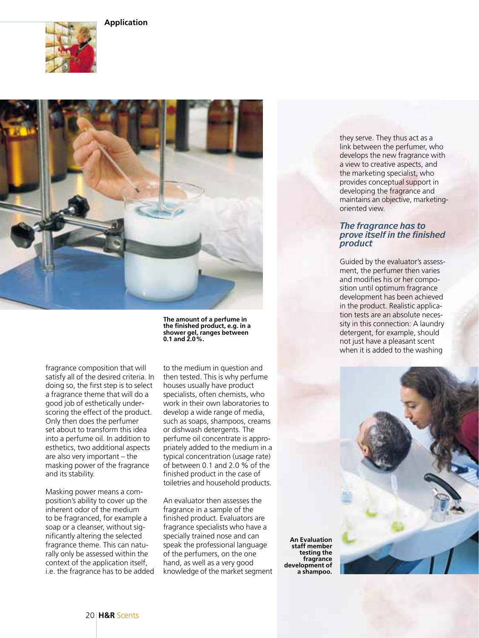# **Application**





fragrance composition that will satisfy all of the desired criteria. In doing so, the first step is to select a fragrance theme that will do a good job of esthetically underscoring the effect of the product. Only then does the perfumer set about to transform this idea into a perfume oil. In addition to esthetics, two additional aspects are also very important – the masking power of the fragrance and its stability.

Masking power means a composition's ability to cover up the inherent odor of the medium to be fragranced, for example a soap or a cleanser, without significantly altering the selected fragrance theme. This can naturally only be assessed within the context of the application itself, i.e. the fragrance has to be added **The amount of a perfume in the finished product, e.g. in a shower gel, ranges between 0.1 and 2.0%.**

to the medium in question and then tested. This is why perfume houses usually have product specialists, often chemists, who work in their own laboratories to develop a wide range of media, such as soaps, shampoos, creams or dishwash detergents. The perfume oil concentrate is appropriately added to the medium in a typical concentration (usage rate) of between 0.1 and 2.0 % of the finished product in the case of toiletries and household products.

An evaluator then assesses the fragrance in a sample of the finished product. Evaluators are fragrance specialists who have a specially trained nose and can speak the professional language of the perfumers, on the one hand, as well as a very good knowledge of the market segment

**An Evaluation staff member testing the fragrance development of a shampoo.**

they serve. They thus act as a link between the perfumer, who develops the new fragrance with a view to creative aspects, and the marketing specialist, who provides conceptual support in developing the fragrance and maintains an objective, marketingoriented view.

### *The fragrance has to prove itself in the finished product*

Guided by the evaluator's assessment, the perfumer then varies and modifies his or her composition until optimum fragrance development has been achieved in the product. Realistic application tests are an absolute necessity in this connection: A laundry detergent, for example, should not just have a pleasant scent when it is added to the washing